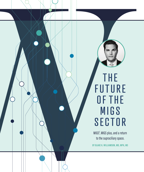

## **THE FUTURE** OF THE **MIGS** SECTOR

MIGS<sup>2</sup>, MIGS plus, and a return to the supraciliary space. **BY BLAKE K. WILLIAMSON, MD, MPH, MS**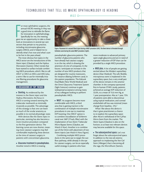*MIGS*

or most ophthalmic surgeons, the<br>annual ASCRS meeting in May was<br>a good time to rekindle the flame<br>for innovation in ophthalmology.<br>Specifically for me, the meeting<br>gave me an opportunity to take a closer or most ophthalmic surgeons, the annual ASCRS meeting in May was a good time to rekindle the flame for innovation in ophthalmology. Specifically for me, the meeting look at innovations in several eye care sectors that pertain to my practice, including microinvasive glaucoma surgery (MIGS), and it helped me to identify what's hot now and what's sure to be hot in the years ahead.

The most obvious hot topics in the MIGS sector are the introductions of the iStent inject (Glaukos) and the Hydrus Microstent (Ivantis). Other trends that have started to surface include combining MIGS procedures, which I like to call *MIGS2* or *MIGS on MIGS*, and *MIGS plus*, a term I like to use for minimally invasive filtering procedures for glaucoma management.

## A BREAKDOWN OF TOP TRENDS

s **Stenting.** As evidenced by the interest in the iStent inject and the Hydrus Microstent, the focus in MIGS is turning toward stenting the trabecular meshwork as minimally invasively as possible. The advantage of this strategy is that one can leave as much of the ocular anatomy as possible in its normal physiologic state.

With devices like the iStent inject in particular, stenting has also become a more intuitive procedure compared to the first-generation device. The learning curves are now shorter, meaning more cataract surgeons may feel comfortable implanting these devices at the time of cataract surgery in patients with concomitant glaucoma.

**Example 3 and 5 are streament in pseudophakes.** Another trend in MIGS is treating



Figure. Placement of a second iStent inject during a MIGS<sup>2</sup> procedure (left). The Omni device is threaded through Schlemm canal during the same MIGS<sup>2</sup> procedure (right).

pseudophakic glaucoma patients. The number of glaucoma patients who have already had cataract surgery is on the rise, which is drawing the attention of a lot of companies. In the future, I anticipate an increase in the number of new MIGS products that are designed for routine maneuvers, for instance dilating Schlemm canal, in this patient population. The Kahook Dual Blade (New World Medical) and the Omni Glaucoma Treatment System (Sight Sciences) continue to gain widespread acceptance among many of my colleagues looking to perform pseudophakic MIGS.

▶ **MIGS<sup>2</sup>**. As surgeons become more comfortable with MIGS, a third area that is gaining traction is the combination of multiple microinvasive procedures in one eye to maximize IOP lowering. One MIGS<sup>2</sup> option is to combine viscodilation of Schlemm canal over 360º (iTrack, Ellex) with the implantation of two iStent Trabecular Micro-Bypass Stents (Glaukos, see *Watch It Now*). Another is to combine use of the Omni with placement of two iStent injects (see *Watch It Now*; Figure).

Combining multiple MIGS procedures in the same eye to target the outflow pathway, while already in the eye for cataract surgery, can be an especially useful strategy in patients who have

more moderate to advanced primary open-angle glaucoma and are in need of a greater reduction of IOP than can be provided by a single MIGS procedure.

**MIGS plus.** A lot of people are getting excited about the MiniJect supraciliary device (iStar Medical). The soft, flexible, microporous stent is implanted in the supraciliary space, but a very small part of the device remains in the anterior chamber. In the company-sponsored first-in-human STAR-I study, patients achieved an average IOP reduction of 32.6%, to a mean of 15.6 mm Hg, at 1 year postoperative. Also at 1 year, 75% of patients were able to discontinue using topical medication, and corneal endothelial cell loss was minimal (mean change from baseline, -2%).<sup>1</sup>

What I like about this device is that it gives practitioners a chance to re-explore the supraciliary space after Alcon's withdrawal of the CyPass Micro-Stent from the market. The iStent Supra (Glaukos) is also on the horizon, so at least two relevant devices may become available for this space.

s **The subconjunctival space.** Let's not forget about the subconjunctival space. In addition to the new ab externo approach to implanting the Xen Gel Stent (Allergan) that is becoming all the rage, the MicroShunt (Santen,